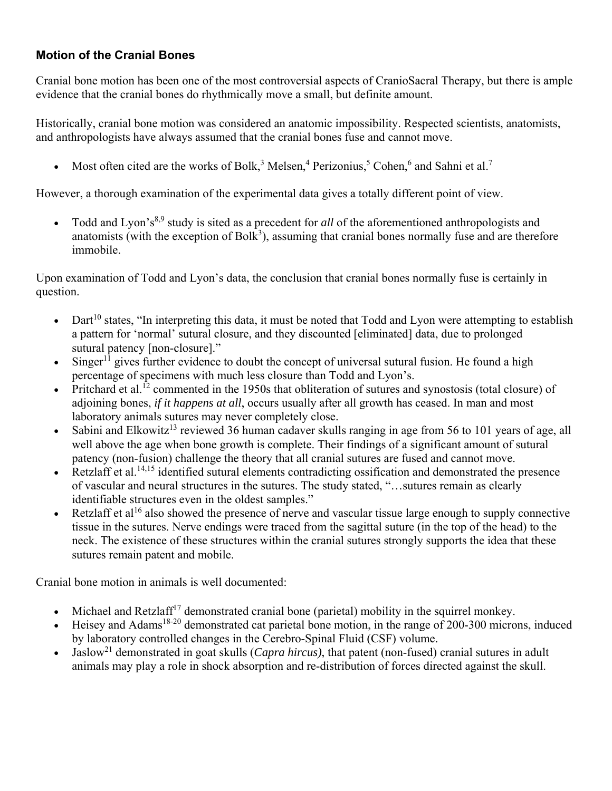# **Motion of the Cranial Bones**

Cranial bone motion has been one of the most controversial aspects of CranioSacral Therapy, but there is ample evidence that the cranial bones do rhythmically move a small, but definite amount.

Historically, cranial bone motion was considered an anatomic impossibility. Respected scientists, anatomists, and anthropologists have always assumed that the cranial bones fuse and cannot move.

• Most often cited are the works of Bolk,<sup>3</sup> Melsen,<sup>4</sup> Perizonius,<sup>5</sup> Cohen,<sup>6</sup> and Sahni et al.<sup>7</sup>

However, a thorough examination of the experimental data gives a totally different point of view.

Todd and Lyon's<sup>8,9</sup> study is sited as a precedent for *all* of the aforementioned anthropologists and anatomists (with the exception of  $Bolk<sup>3</sup>$ ), assuming that cranial bones normally fuse and are therefore immobile.

Upon examination of Todd and Lyon's data, the conclusion that cranial bones normally fuse is certainly in question.

- $\bullet$  Dart<sup>10</sup> states, "In interpreting this data, it must be noted that Todd and Lyon were attempting to establish a pattern for 'normal' sutural closure, and they discounted [eliminated] data, due to prolonged sutural patency [non-closure]."
- Singer<sup>11</sup> gives further evidence to doubt the concept of universal sutural fusion. He found a high percentage of specimens with much less closure than Todd and Lyon's.
- Pritchard et al.<sup>12</sup> commented in the 1950s that obliteration of sutures and synostosis (total closure) of adjoining bones, *if it happens at all*, occurs usually after all growth has ceased. In man and most laboratory animals sutures may never completely close.
- Sabini and Elkowitz<sup>13</sup> reviewed 36 human cadaver skulls ranging in age from 56 to 101 years of age, all well above the age when bone growth is complete. Their findings of a significant amount of sutural patency (non-fusion) challenge the theory that all cranial sutures are fused and cannot move.
- Retzlaff et al.<sup>14,15</sup> identified sutural elements contradicting ossification and demonstrated the presence of vascular and neural structures in the sutures. The study stated, "…sutures remain as clearly identifiable structures even in the oldest samples."
- Retzlaff et al<sup>16</sup> also showed the presence of nerve and vascular tissue large enough to supply connective tissue in the sutures. Nerve endings were traced from the sagittal suture (in the top of the head) to the neck. The existence of these structures within the cranial sutures strongly supports the idea that these sutures remain patent and mobile.

Cranial bone motion in animals is well documented:

- $\bullet$  Michael and Retzlaff<sup>17</sup> demonstrated cranial bone (parietal) mobility in the squirrel monkey.
- Heisey and Adams<sup>18-20</sup> demonstrated cat parietal bone motion, in the range of 200-300 microns, induced by laboratory controlled changes in the Cerebro-Spinal Fluid (CSF) volume.
- Jaslow21 demonstrated in goat skulls (*Capra hircus)*, that patent (non-fused) cranial sutures in adult animals may play a role in shock absorption and re-distribution of forces directed against the skull.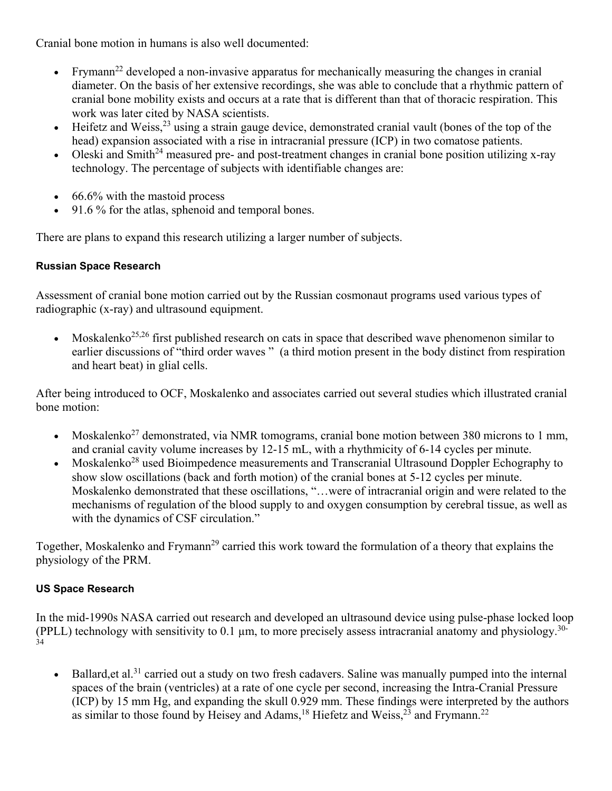Cranial bone motion in humans is also well documented:

- Frymann<sup>22</sup> developed a non-invasive apparatus for mechanically measuring the changes in cranial diameter. On the basis of her extensive recordings, she was able to conclude that a rhythmic pattern of cranial bone mobility exists and occurs at a rate that is different than that of thoracic respiration. This work was later cited by NASA scientists.
- $\bullet$  Heifetz and Weiss,<sup>23</sup> using a strain gauge device, demonstrated cranial vault (bones of the top of the head) expansion associated with a rise in intracranial pressure (ICP) in two comatose patients.
- Oleski and Smith<sup>24</sup> measured pre- and post-treatment changes in cranial bone position utilizing x-ray technology. The percentage of subjects with identifiable changes are:
- $\cdot$  66.6% with the mastoid process
- 91.6 % for the atlas, sphenoid and temporal bones.

There are plans to expand this research utilizing a larger number of subjects.

## **Russian Space Research**

Assessment of cranial bone motion carried out by the Russian cosmonaut programs used various types of radiographic (x-ray) and ultrasound equipment.

• Moskalenko<sup>25,26</sup> first published research on cats in space that described wave phenomenon similar to earlier discussions of "third order waves" (a third motion present in the body distinct from respiration and heart beat) in glial cells.

After being introduced to OCF, Moskalenko and associates carried out several studies which illustrated cranial bone motion:

- Moskalenko<sup>27</sup> demonstrated, via NMR tomograms, cranial bone motion between 380 microns to 1 mm, and cranial cavity volume increases by 12-15 mL, with a rhythmicity of 6-14 cycles per minute.
- Moskalenko<sup>28</sup> used Bioimpedence measurements and Transcranial Ultrasound Doppler Echography to show slow oscillations (back and forth motion) of the cranial bones at 5-12 cycles per minute. Moskalenko demonstrated that these oscillations, "…were of intracranial origin and were related to the mechanisms of regulation of the blood supply to and oxygen consumption by cerebral tissue, as well as with the dynamics of CSF circulation."

Together, Moskalenko and Frymann<sup>29</sup> carried this work toward the formulation of a theory that explains the physiology of the PRM.

### **US Space Research**

In the mid-1990s NASA carried out research and developed an ultrasound device using pulse-phase locked loop (PPLL) technology with sensitivity to 0.1 µm, to more precisely assess intracranial anatomy and physiology.30-  $\tilde{34}$ 

Ballard, et al.<sup>31</sup> carried out a study on two fresh cadavers. Saline was manually pumped into the internal spaces of the brain (ventricles) at a rate of one cycle per second, increasing the Intra-Cranial Pressure (ICP) by 15 mm Hg, and expanding the skull 0.929 mm. These findings were interpreted by the authors as similar to those found by Heisey and Adams,<sup>18</sup> Hiefetz and Weiss,<sup>23</sup> and Frymann.<sup>22</sup>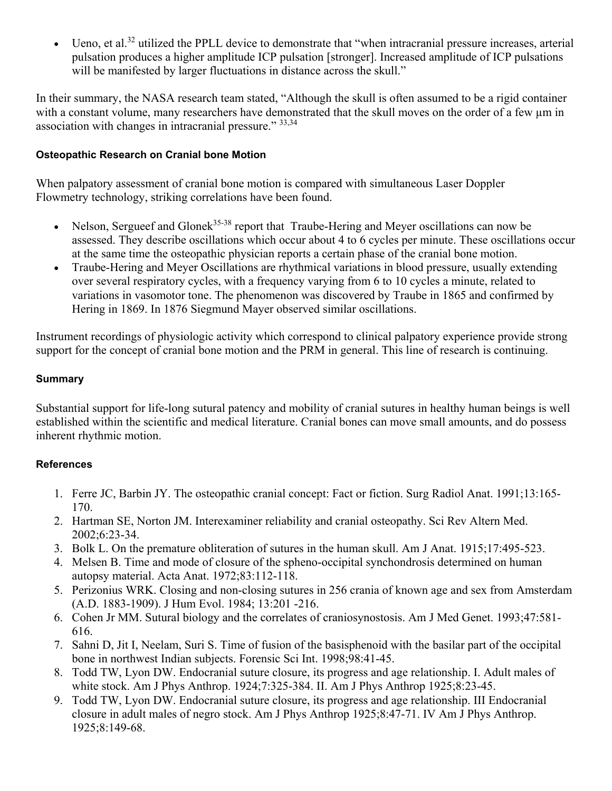Ueno, et al.<sup>32</sup> utilized the PPLL device to demonstrate that "when intracranial pressure increases, arterial pulsation produces a higher amplitude ICP pulsation [stronger]. Increased amplitude of ICP pulsations will be manifested by larger fluctuations in distance across the skull."

In their summary, the NASA research team stated, "Although the skull is often assumed to be a rigid container with a constant volume, many researchers have demonstrated that the skull moves on the order of a few µm in association with changes in intracranial pressure." 33,34

### **Osteopathic Research on Cranial bone Motion**

When palpatory assessment of cranial bone motion is compared with simultaneous Laser Doppler Flowmetry technology, striking correlations have been found.

- Nelson, Sergueef and Glonek<sup>35-38</sup> report that Traube-Hering and Meyer oscillations can now be assessed. They describe oscillations which occur about 4 to 6 cycles per minute. These oscillations occur at the same time the osteopathic physician reports a certain phase of the cranial bone motion.
- Traube-Hering and Meyer Oscillations are rhythmical variations in blood pressure, usually extending over several respiratory cycles, with a frequency varying from 6 to 10 cycles a minute, related to variations in vasomotor tone. The phenomenon was discovered by Traube in 1865 and confirmed by Hering in 1869. In 1876 Siegmund Mayer observed similar oscillations.

Instrument recordings of physiologic activity which correspond to clinical palpatory experience provide strong support for the concept of cranial bone motion and the PRM in general. This line of research is continuing.

#### **Summary**

Substantial support for life-long sutural patency and mobility of cranial sutures in healthy human beings is well established within the scientific and medical literature. Cranial bones can move small amounts, and do possess inherent rhythmic motion.

### **References**

- 1. Ferre JC, Barbin JY. The osteopathic cranial concept: Fact or fiction. Surg Radiol Anat. 1991;13:165- 170.
- 2. Hartman SE, Norton JM. Interexaminer reliability and cranial osteopathy. Sci Rev Altern Med. 2002;6:23-34.
- 3. Bolk L. On the premature obliteration of sutures in the human skull. Am J Anat. 1915;17:495-523.
- 4. Melsen B. Time and mode of closure of the spheno-occipital synchondrosis determined on human autopsy material. Acta Anat. 1972;83:112-118.
- 5. Perizonius WRK. Closing and non-closing sutures in 256 crania of known age and sex from Amsterdam (A.D. 1883-1909). J Hum Evol. 1984; 13:201 -216.
- 6. Cohen Jr MM. Sutural biology and the correlates of craniosynostosis. Am J Med Genet. 1993;47:581- 616.
- 7. Sahni D, Jit I, Neelam, Suri S. Time of fusion of the basisphenoid with the basilar part of the occipital bone in northwest Indian subjects. Forensic Sci Int. 1998;98:41-45.
- 8. Todd TW, Lyon DW. Endocranial suture closure, its progress and age relationship. I. Adult males of white stock. Am J Phys Anthrop. 1924;7:325-384. II. Am J Phys Anthrop 1925;8:23-45.
- 9. Todd TW, Lyon DW. Endocranial suture closure, its progress and age relationship. III Endocranial closure in adult males of negro stock. Am J Phys Anthrop 1925;8:47-71. IV Am J Phys Anthrop. 1925;8:149-68.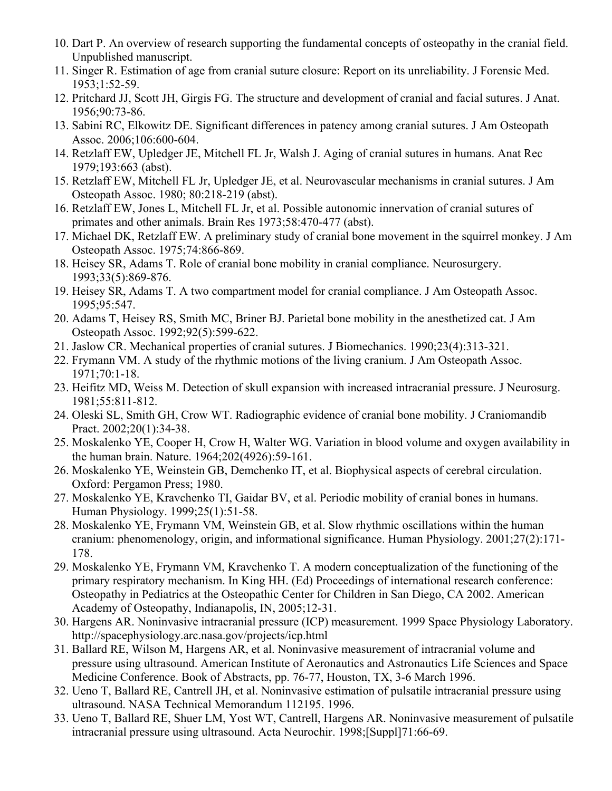- 10. Dart P. An overview of research supporting the fundamental concepts of osteopathy in the cranial field. Unpublished manuscript.
- 11. Singer R. Estimation of age from cranial suture closure: Report on its unreliability. J Forensic Med. 1953;1:52-59.
- 12. Pritchard JJ, Scott JH, Girgis FG. The structure and development of cranial and facial sutures. J Anat. 1956;90:73-86.
- 13. Sabini RC, Elkowitz DE. Significant differences in patency among cranial sutures. J Am Osteopath Assoc. 2006;106:600-604.
- 14. Retzlaff EW, Upledger JE, Mitchell FL Jr, Walsh J. Aging of cranial sutures in humans. Anat Rec 1979;193:663 (abst).
- 15. Retzlaff EW, Mitchell FL Jr, Upledger JE, et al. Neurovascular mechanisms in cranial sutures. J Am Osteopath Assoc. 1980; 80:218-219 (abst).
- 16. Retzlaff EW, Jones L, Mitchell FL Jr, et al. Possible autonomic innervation of cranial sutures of primates and other animals. Brain Res 1973;58:470-477 (abst).
- 17. Michael DK, Retzlaff EW. A preliminary study of cranial bone movement in the squirrel monkey. J Am Osteopath Assoc. 1975;74:866-869.
- 18. Heisey SR, Adams T. Role of cranial bone mobility in cranial compliance. Neurosurgery. 1993;33(5):869-876.
- 19. Heisey SR, Adams T. A two compartment model for cranial compliance. J Am Osteopath Assoc. 1995;95:547.
- 20. Adams T, Heisey RS, Smith MC, Briner BJ. Parietal bone mobility in the anesthetized cat. J Am Osteopath Assoc. 1992;92(5):599-622.
- 21. Jaslow CR. Mechanical properties of cranial sutures. J Biomechanics. 1990;23(4):313-321.
- 22. Frymann VM. A study of the rhythmic motions of the living cranium. J Am Osteopath Assoc. 1971;70:1-18.
- 23. Heifitz MD, Weiss M. Detection of skull expansion with increased intracranial pressure. J Neurosurg. 1981;55:811-812.
- 24. Oleski SL, Smith GH, Crow WT. Radiographic evidence of cranial bone mobility. J Craniomandib Pract. 2002;20(1):34-38.
- 25. Moskalenko YE, Cooper H, Crow H, Walter WG. Variation in blood volume and oxygen availability in the human brain. Nature. 1964;202(4926):59-161.
- 26. Moskalenko YE, Weinstein GB, Demchenko IT, et al. Biophysical aspects of cerebral circulation. Oxford: Pergamon Press; 1980.
- 27. Moskalenko YE, Kravchenko TI, Gaidar BV, et al. Periodic mobility of cranial bones in humans. Human Physiology. 1999;25(1):51-58.
- 28. Moskalenko YE, Frymann VM, Weinstein GB, et al. Slow rhythmic oscillations within the human cranium: phenomenology, origin, and informational significance. Human Physiology. 2001;27(2):171- 178.
- 29. Moskalenko YE, Frymann VM, Kravchenko T. A modern conceptualization of the functioning of the primary respiratory mechanism. In King HH. (Ed) Proceedings of international research conference: Osteopathy in Pediatrics at the Osteopathic Center for Children in San Diego, CA 2002. American Academy of Osteopathy, Indianapolis, IN, 2005;12-31.
- 30. Hargens AR. Noninvasive intracranial pressure (ICP) measurement. 1999 Space Physiology Laboratory. http://spacephysiology.arc.nasa.gov/projects/icp.html
- 31. Ballard RE, Wilson M, Hargens AR, et al. Noninvasive measurement of intracranial volume and pressure using ultrasound. American Institute of Aeronautics and Astronautics Life Sciences and Space Medicine Conference. Book of Abstracts, pp. 76-77, Houston, TX, 3-6 March 1996.
- 32. Ueno T, Ballard RE, Cantrell JH, et al. Noninvasive estimation of pulsatile intracranial pressure using ultrasound. NASA Technical Memorandum 112195. 1996.
- 33. Ueno T, Ballard RE, Shuer LM, Yost WT, Cantrell, Hargens AR. Noninvasive measurement of pulsatile intracranial pressure using ultrasound. Acta Neurochir. 1998;[Suppl]71:66-69.